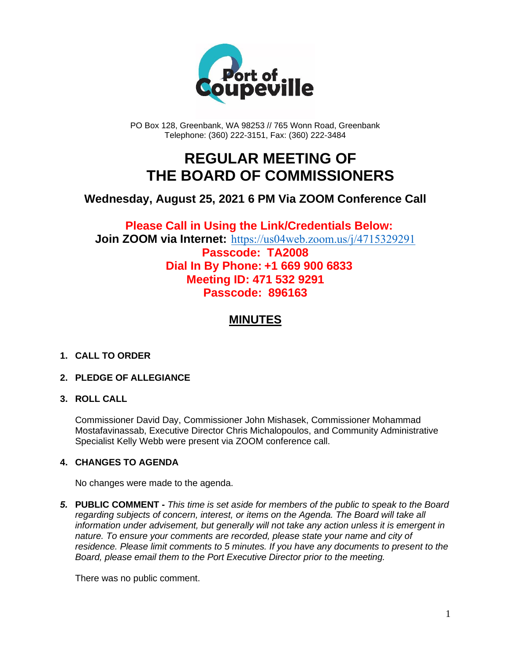

PO Box 128, Greenbank, WA 98253 // 765 Wonn Road, Greenbank Telephone: (360) 222-3151, Fax: (360) 222-3484

## **REGULAR MEETING OF THE BOARD OF COMMISSIONERS**

### **Wednesday, August 25, 2021 6 PM Via ZOOM Conference Call**

**Please Call in Using the Link/Credentials Below: Join ZOOM via Internet:** <https://us04web.zoom.us/j/4715329291>

**Passcode: TA2008 Dial In By Phone: +1 669 900 6833 Meeting ID: 471 532 9291 Passcode: 896163**

## **MINUTES**

#### **1. CALL TO ORDER**

#### **2. PLEDGE OF ALLEGIANCE**

#### **3. ROLL CALL**

Commissioner David Day, Commissioner John Mishasek, Commissioner Mohammad Mostafavinassab, Executive Director Chris Michalopoulos, and Community Administrative Specialist Kelly Webb were present via ZOOM conference call.

#### **4. CHANGES TO AGENDA**

No changes were made to the agenda.

*5.* **PUBLIC COMMENT -** *This time is set aside for members of the public to speak to the Board regarding subjects of concern, interest, or items on the Agenda. The Board will take all information under advisement, but generally will not take any action unless it is emergent in nature. To ensure your comments are recorded, please state your name and city of residence. Please limit comments to 5 minutes. If you have any documents to present to the Board, please email them to the Port Executive Director prior to the meeting.*

There was no public comment.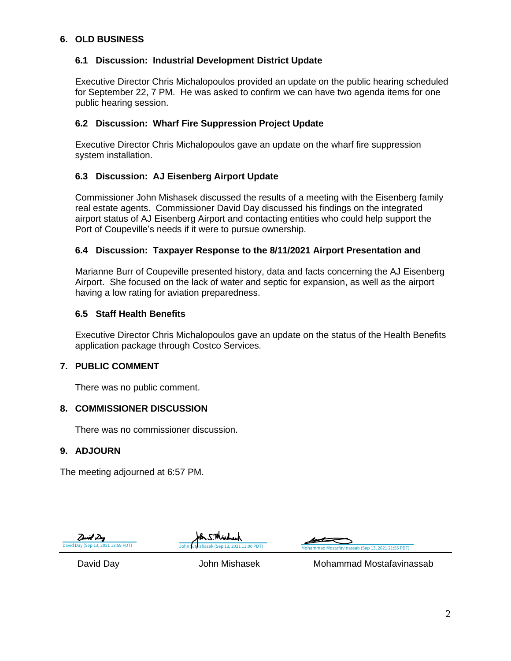#### **6. OLD BUSINESS**

#### **6.1 Discussion: Industrial Development District Update**

Executive Director Chris Michalopoulos provided an update on the public hearing scheduled for September 22, 7 PM. He was asked to confirm we can have two agenda items for one public hearing session.

#### **6.2 Discussion: Wharf Fire Suppression Project Update**

Executive Director Chris Michalopoulos gave an update on the wharf fire suppression system installation.

#### **6.3 Discussion: AJ Eisenberg Airport Update**

Commissioner John Mishasek discussed the results of a meeting with the Eisenberg family real estate agents. Commissioner David Day discussed his findings on the integrated airport status of AJ Eisenberg Airport and contacting entities who could help support the Port of Coupeville's needs if it were to pursue ownership.

#### **6.4 Discussion: Taxpayer Response to the 8/11/2021 Airport Presentation and**

Marianne Burr of Coupeville presented history, data and facts concerning the AJ Eisenberg Airport. She focused on the lack of water and septic for expansion, as well as the airport having a low rating for aviation preparedness.

#### **6.5 Staff Health Benefits**

Executive Director Chris Michalopoulos gave an update on the status of the Health Benefits application package through Costco Services.

#### **7. PUBLIC COMMENT**

There was no public comment.

#### **8. COMMISSIONER DISCUSSION**

There was no commissioner discussion.

#### **9. ADJOURN**

The meeting adjourned at 6:57 PM.







David Day John Mishasek Mohammad Mostafavinassab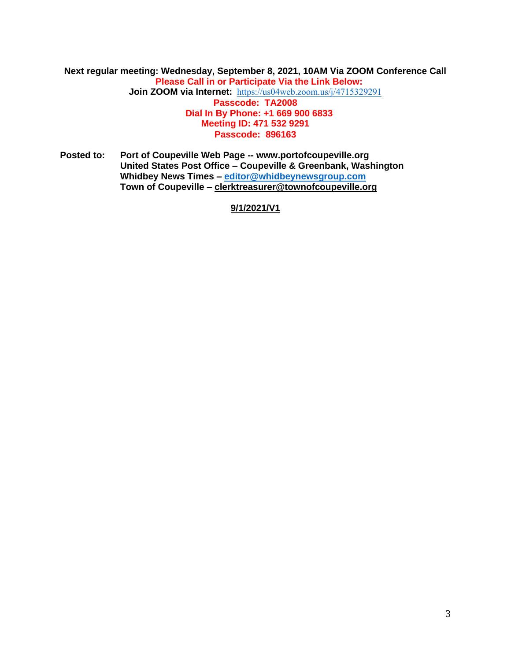#### **Next regular meeting: Wednesday, September 8, 2021, 10AM Via ZOOM Conference Call Please Call in or Participate Via the Link Below: Join ZOOM via Internet:** <https://us04web.zoom.us/j/4715329291> **Passcode: TA2008 Dial In By Phone: +1 669 900 6833 Meeting ID: 471 532 9291 Passcode: 896163**

**Posted to: Port of Coupeville Web Page -- www.portofcoupeville.org United States Post Office – Coupeville & Greenbank, Washington Whidbey News Times – [editor@whidbeynewsgroup.com](mailto:editor@whidbeynewsgroup.com) Town of Coupeville – [clerktreasurer@townofcoupeville.org](mailto:clerktreasurer@townofcoupeville.org)**

**9/1/2021/V1**